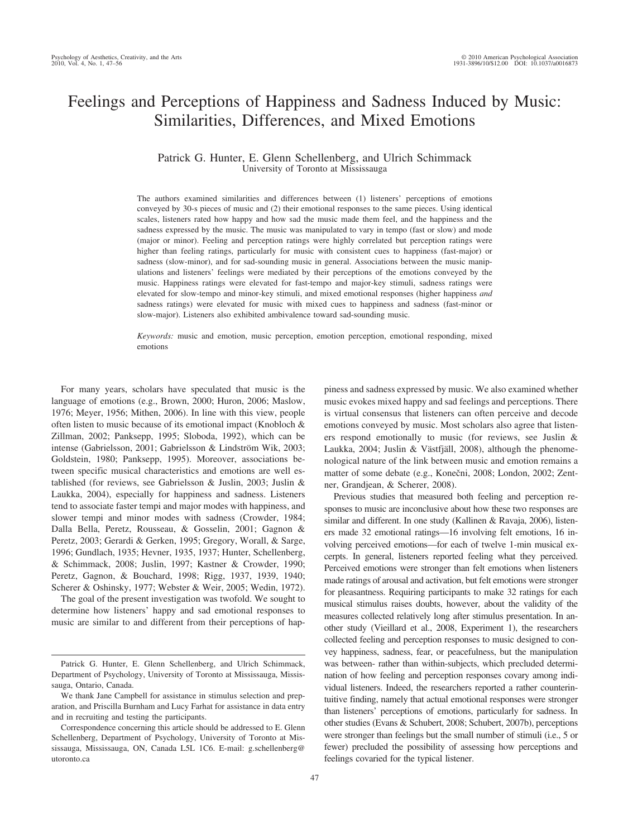# Feelings and Perceptions of Happiness and Sadness Induced by Music: Similarities, Differences, and Mixed Emotions

# Patrick G. Hunter, E. Glenn Schellenberg, and Ulrich Schimmack University of Toronto at Mississauga

The authors examined similarities and differences between (1) listeners' perceptions of emotions conveyed by 30-s pieces of music and (2) their emotional responses to the same pieces. Using identical scales, listeners rated how happy and how sad the music made them feel, and the happiness and the sadness expressed by the music. The music was manipulated to vary in tempo (fast or slow) and mode (major or minor). Feeling and perception ratings were highly correlated but perception ratings were higher than feeling ratings, particularly for music with consistent cues to happiness (fast-major) or sadness (slow-minor), and for sad-sounding music in general. Associations between the music manipulations and listeners' feelings were mediated by their perceptions of the emotions conveyed by the music. Happiness ratings were elevated for fast-tempo and major-key stimuli, sadness ratings were elevated for slow-tempo and minor-key stimuli, and mixed emotional responses (higher happiness *and* sadness ratings) were elevated for music with mixed cues to happiness and sadness (fast-minor or slow-major). Listeners also exhibited ambivalence toward sad-sounding music.

*Keywords:* music and emotion, music perception, emotion perception, emotional responding, mixed emotions

For many years, scholars have speculated that music is the language of emotions (e.g., Brown, 2000; Huron, 2006; Maslow, 1976; Meyer, 1956; Mithen, 2006). In line with this view, people often listen to music because of its emotional impact (Knobloch & Zillman, 2002; Panksepp, 1995; Sloboda, 1992), which can be intense (Gabrielsson, 2001; Gabrielsson & Lindström Wik, 2003; Goldstein, 1980; Panksepp, 1995). Moreover, associations between specific musical characteristics and emotions are well established (for reviews, see Gabrielsson & Juslin, 2003; Juslin & Laukka, 2004), especially for happiness and sadness. Listeners tend to associate faster tempi and major modes with happiness, and slower tempi and minor modes with sadness (Crowder, 1984; Dalla Bella, Peretz, Rousseau, & Gosselin, 2001; Gagnon & Peretz, 2003; Gerardi & Gerken, 1995; Gregory, Worall, & Sarge, 1996; Gundlach, 1935; Hevner, 1935, 1937; Hunter, Schellenberg, & Schimmack, 2008; Juslin, 1997; Kastner & Crowder, 1990; Peretz, Gagnon, & Bouchard, 1998; Rigg, 1937, 1939, 1940; Scherer & Oshinsky, 1977; Webster & Weir, 2005; Wedin, 1972).

The goal of the present investigation was twofold. We sought to determine how listeners' happy and sad emotional responses to music are similar to and different from their perceptions of happiness and sadness expressed by music. We also examined whether music evokes mixed happy and sad feelings and perceptions. There is virtual consensus that listeners can often perceive and decode emotions conveyed by music. Most scholars also agree that listeners respond emotionally to music (for reviews, see Juslin & Laukka, 2004; Juslin & Västfjäll, 2008), although the phenomenological nature of the link between music and emotion remains a matter of some debate (e.g., Konečni, 2008; London, 2002; Zentner, Grandjean, & Scherer, 2008).

Previous studies that measured both feeling and perception responses to music are inconclusive about how these two responses are similar and different. In one study (Kallinen & Ravaja, 2006), listeners made 32 emotional ratings—16 involving felt emotions, 16 involving perceived emotions—for each of twelve 1-min musical excerpts. In general, listeners reported feeling what they perceived. Perceived emotions were stronger than felt emotions when listeners made ratings of arousal and activation, but felt emotions were stronger for pleasantness. Requiring participants to make 32 ratings for each musical stimulus raises doubts, however, about the validity of the measures collected relatively long after stimulus presentation. In another study (Vieillard et al., 2008, Experiment 1), the researchers collected feeling and perception responses to music designed to convey happiness, sadness, fear, or peacefulness, but the manipulation was between- rather than within-subjects, which precluded determination of how feeling and perception responses covary among individual listeners. Indeed, the researchers reported a rather counterintuitive finding, namely that actual emotional responses were stronger than listeners' perceptions of emotions, particularly for sadness. In other studies (Evans & Schubert, 2008; Schubert, 2007b), perceptions were stronger than feelings but the small number of stimuli (i.e., 5 or fewer) precluded the possibility of assessing how perceptions and feelings covaried for the typical listener.

Patrick G. Hunter, E. Glenn Schellenberg, and Ulrich Schimmack, Department of Psychology, University of Toronto at Mississauga, Mississauga, Ontario, Canada.

We thank Jane Campbell for assistance in stimulus selection and preparation, and Priscilla Burnham and Lucy Farhat for assistance in data entry and in recruiting and testing the participants.

Correspondence concerning this article should be addressed to E. Glenn Schellenberg, Department of Psychology, University of Toronto at Mississauga, Mississauga, ON, Canada L5L 1C6. E-mail: g.schellenberg@ utoronto.ca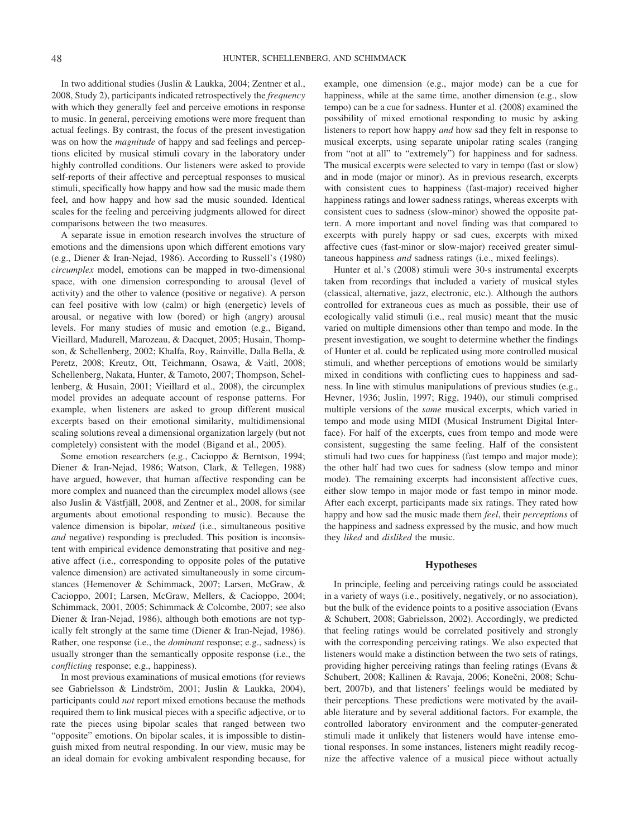In two additional studies (Juslin & Laukka, 2004; Zentner et al., 2008, Study 2), participants indicated retrospectively the *frequency* with which they generally feel and perceive emotions in response to music. In general, perceiving emotions were more frequent than actual feelings. By contrast, the focus of the present investigation was on how the *magnitude* of happy and sad feelings and perceptions elicited by musical stimuli covary in the laboratory under highly controlled conditions. Our listeners were asked to provide self-reports of their affective and perceptual responses to musical stimuli, specifically how happy and how sad the music made them feel, and how happy and how sad the music sounded. Identical scales for the feeling and perceiving judgments allowed for direct comparisons between the two measures.

A separate issue in emotion research involves the structure of emotions and the dimensions upon which different emotions vary (e.g., Diener & Iran-Nejad, 1986). According to Russell's (1980) *circumplex* model, emotions can be mapped in two-dimensional space, with one dimension corresponding to arousal (level of activity) and the other to valence (positive or negative). A person can feel positive with low (calm) or high (energetic) levels of arousal, or negative with low (bored) or high (angry) arousal levels. For many studies of music and emotion (e.g., Bigand, Vieillard, Madurell, Marozeau, & Dacquet, 2005; Husain, Thompson, & Schellenberg, 2002; Khalfa, Roy, Rainville, Dalla Bella, & Peretz, 2008; Kreutz, Ott, Teichmann, Osawa, & Vaitl, 2008; Schellenberg, Nakata, Hunter, & Tamoto, 2007; Thompson, Schellenberg, & Husain, 2001; Vieillard et al., 2008), the circumplex model provides an adequate account of response patterns. For example, when listeners are asked to group different musical excerpts based on their emotional similarity, multidimensional scaling solutions reveal a dimensional organization largely (but not completely) consistent with the model (Bigand et al., 2005).

Some emotion researchers (e.g., Cacioppo & Berntson, 1994; Diener & Iran-Nejad, 1986; Watson, Clark, & Tellegen, 1988) have argued, however, that human affective responding can be more complex and nuanced than the circumplex model allows (see also Juslin & Västfjäll, 2008, and Zentner et al., 2008, for similar arguments about emotional responding to music). Because the valence dimension is bipolar, *mixed* (i.e., simultaneous positive *and* negative) responding is precluded. This position is inconsistent with empirical evidence demonstrating that positive and negative affect (i.e., corresponding to opposite poles of the putative valence dimension) are activated simultaneously in some circumstances (Hemenover & Schimmack, 2007; Larsen, McGraw, & Cacioppo, 2001; Larsen, McGraw, Mellers, & Cacioppo, 2004; Schimmack, 2001, 2005; Schimmack & Colcombe, 2007; see also Diener & Iran-Nejad, 1986), although both emotions are not typically felt strongly at the same time (Diener & Iran-Nejad, 1986). Rather, one response (i.e., the *dominant* response; e.g., sadness) is usually stronger than the semantically opposite response (i.e., the *conflicting* response; e.g., happiness).

In most previous examinations of musical emotions (for reviews see Gabrielsson & Lindström, 2001; Juslin & Laukka, 2004), participants could *not* report mixed emotions because the methods required them to link musical pieces with a specific adjective, or to rate the pieces using bipolar scales that ranged between two "opposite" emotions. On bipolar scales, it is impossible to distinguish mixed from neutral responding. In our view, music may be an ideal domain for evoking ambivalent responding because, for example, one dimension (e.g., major mode) can be a cue for happiness, while at the same time, another dimension (e.g., slow tempo) can be a cue for sadness. Hunter et al. (2008) examined the possibility of mixed emotional responding to music by asking listeners to report how happy *and* how sad they felt in response to musical excerpts, using separate unipolar rating scales (ranging from "not at all" to "extremely") for happiness and for sadness. The musical excerpts were selected to vary in tempo (fast or slow) and in mode (major or minor). As in previous research, excerpts with consistent cues to happiness (fast-major) received higher happiness ratings and lower sadness ratings, whereas excerpts with consistent cues to sadness (slow-minor) showed the opposite pattern. A more important and novel finding was that compared to excerpts with purely happy or sad cues, excerpts with mixed affective cues (fast-minor or slow-major) received greater simultaneous happiness *and* sadness ratings (i.e., mixed feelings).

Hunter et al.'s (2008) stimuli were 30-s instrumental excerpts taken from recordings that included a variety of musical styles (classical, alternative, jazz, electronic, etc.). Although the authors controlled for extraneous cues as much as possible, their use of ecologically valid stimuli (i.e., real music) meant that the music varied on multiple dimensions other than tempo and mode. In the present investigation, we sought to determine whether the findings of Hunter et al. could be replicated using more controlled musical stimuli, and whether perceptions of emotions would be similarly mixed in conditions with conflicting cues to happiness and sadness. In line with stimulus manipulations of previous studies (e.g., Hevner, 1936; Juslin, 1997; Rigg, 1940), our stimuli comprised multiple versions of the *same* musical excerpts, which varied in tempo and mode using MIDI (Musical Instrument Digital Interface). For half of the excerpts, cues from tempo and mode were consistent, suggesting the same feeling. Half of the consistent stimuli had two cues for happiness (fast tempo and major mode); the other half had two cues for sadness (slow tempo and minor mode). The remaining excerpts had inconsistent affective cues, either slow tempo in major mode or fast tempo in minor mode. After each excerpt, participants made six ratings. They rated how happy and how sad the music made them *feel*, their *perceptions* of the happiness and sadness expressed by the music, and how much they *liked* and *disliked* the music.

# **Hypotheses**

In principle, feeling and perceiving ratings could be associated in a variety of ways (i.e., positively, negatively, or no association), but the bulk of the evidence points to a positive association (Evans & Schubert, 2008; Gabrielsson, 2002). Accordingly, we predicted that feeling ratings would be correlated positively and strongly with the corresponding perceiving ratings. We also expected that listeners would make a distinction between the two sets of ratings, providing higher perceiving ratings than feeling ratings (Evans & Schubert, 2008; Kallinen & Ravaja, 2006; Konečni, 2008; Schubert, 2007b), and that listeners' feelings would be mediated by their perceptions. These predictions were motivated by the available literature and by several additional factors. For example, the controlled laboratory environment and the computer-generated stimuli made it unlikely that listeners would have intense emotional responses. In some instances, listeners might readily recognize the affective valence of a musical piece without actually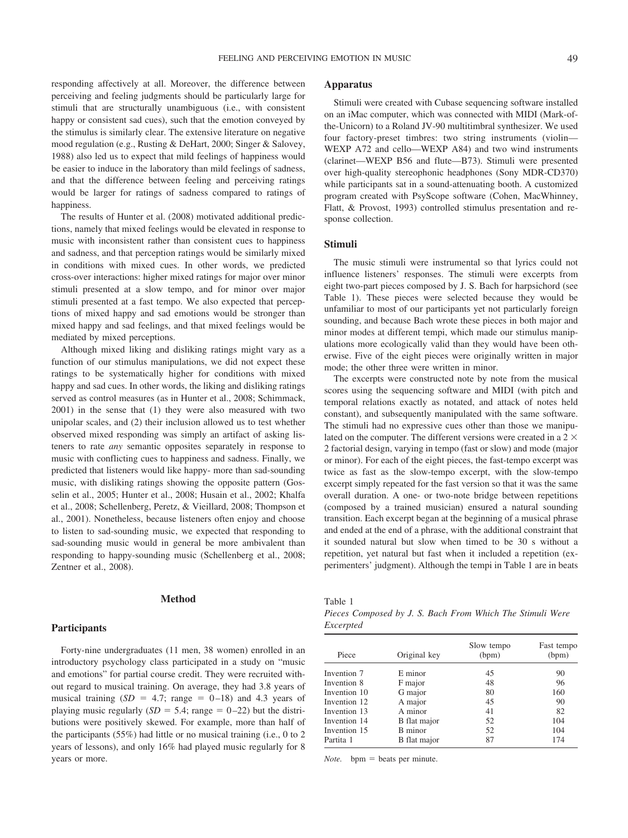responding affectively at all. Moreover, the difference between perceiving and feeling judgments should be particularly large for stimuli that are structurally unambiguous (i.e., with consistent happy or consistent sad cues), such that the emotion conveyed by the stimulus is similarly clear. The extensive literature on negative mood regulation (e.g., Rusting & DeHart, 2000; Singer & Salovey, 1988) also led us to expect that mild feelings of happiness would be easier to induce in the laboratory than mild feelings of sadness, and that the difference between feeling and perceiving ratings would be larger for ratings of sadness compared to ratings of happiness.

The results of Hunter et al. (2008) motivated additional predictions, namely that mixed feelings would be elevated in response to music with inconsistent rather than consistent cues to happiness and sadness, and that perception ratings would be similarly mixed in conditions with mixed cues. In other words, we predicted cross-over interactions: higher mixed ratings for major over minor stimuli presented at a slow tempo, and for minor over major stimuli presented at a fast tempo. We also expected that perceptions of mixed happy and sad emotions would be stronger than mixed happy and sad feelings, and that mixed feelings would be mediated by mixed perceptions.

Although mixed liking and disliking ratings might vary as a function of our stimulus manipulations, we did not expect these ratings to be systematically higher for conditions with mixed happy and sad cues. In other words, the liking and disliking ratings served as control measures (as in Hunter et al., 2008; Schimmack, 2001) in the sense that (1) they were also measured with two unipolar scales, and (2) their inclusion allowed us to test whether observed mixed responding was simply an artifact of asking listeners to rate *any* semantic opposites separately in response to music with conflicting cues to happiness and sadness. Finally, we predicted that listeners would like happy- more than sad-sounding music, with disliking ratings showing the opposite pattern (Gosselin et al., 2005; Hunter et al., 2008; Husain et al., 2002; Khalfa et al., 2008; Schellenberg, Peretz, & Vieillard, 2008; Thompson et al., 2001). Nonetheless, because listeners often enjoy and choose to listen to sad-sounding music, we expected that responding to sad-sounding music would in general be more ambivalent than responding to happy-sounding music (Schellenberg et al., 2008; Zentner et al., 2008).

## **Method**

# **Participants**

Forty-nine undergraduates (11 men, 38 women) enrolled in an introductory psychology class participated in a study on "music and emotions" for partial course credit. They were recruited without regard to musical training. On average, they had 3.8 years of musical training  $(SD = 4.7; \text{ range} = 0-18)$  and 4.3 years of playing music regularly  $(SD = 5.4; \text{range} = 0-22)$  but the distributions were positively skewed. For example, more than half of the participants (55%) had little or no musical training (i.e., 0 to 2 years of lessons), and only 16% had played music regularly for 8 years or more.

# **Apparatus**

Stimuli were created with Cubase sequencing software installed on an iMac computer, which was connected with MIDI (Mark-ofthe-Unicorn) to a Roland JV-90 multitimbral synthesizer. We used four factory-preset timbres: two string instruments (violin— WEXP A72 and cello—WEXP A84) and two wind instruments (clarinet—WEXP B56 and flute—B73). Stimuli were presented over high-quality stereophonic headphones (Sony MDR-CD370) while participants sat in a sound-attenuating booth. A customized program created with PsyScope software (Cohen, MacWhinney, Flatt, & Provost, 1993) controlled stimulus presentation and response collection.

# **Stimuli**

The music stimuli were instrumental so that lyrics could not influence listeners' responses. The stimuli were excerpts from eight two-part pieces composed by J. S. Bach for harpsichord (see Table 1). These pieces were selected because they would be unfamiliar to most of our participants yet not particularly foreign sounding, and because Bach wrote these pieces in both major and minor modes at different tempi, which made our stimulus manipulations more ecologically valid than they would have been otherwise. Five of the eight pieces were originally written in major mode; the other three were written in minor.

The excerpts were constructed note by note from the musical scores using the sequencing software and MIDI (with pitch and temporal relations exactly as notated, and attack of notes held constant), and subsequently manipulated with the same software. The stimuli had no expressive cues other than those we manipulated on the computer. The different versions were created in a 2  $\times$ 2 factorial design, varying in tempo (fast or slow) and mode (major or minor). For each of the eight pieces, the fast-tempo excerpt was twice as fast as the slow-tempo excerpt, with the slow-tempo excerpt simply repeated for the fast version so that it was the same overall duration. A one- or two-note bridge between repetitions (composed by a trained musician) ensured a natural sounding transition. Each excerpt began at the beginning of a musical phrase and ended at the end of a phrase, with the additional constraint that it sounded natural but slow when timed to be 30 s without a repetition, yet natural but fast when it included a repetition (experimenters' judgment). Although the tempi in Table 1 are in beats

Table 1

*Pieces Composed by J. S. Bach From Which The Stimuli Were Excerpted*

|              |              | Slow tempo | Fast tempo |
|--------------|--------------|------------|------------|
| Piece        | Original key | (bpm)      | (bpm)      |
| Invention 7  | E minor      | 45         | 90         |
| Invention 8  | F major      | 48         | 96         |
| Invention 10 | G major      | 80         | 160        |
| Invention 12 | A major      | 45         | 90         |
| Invention 13 | A minor      | 41         | 82         |
| Invention 14 | B flat major | 52         | 104        |
| Invention 15 | B minor      | 52         | 104        |
| Partita 1    | B flat major | 87         | 174        |

*Note.*  $bpm = beats per minute.$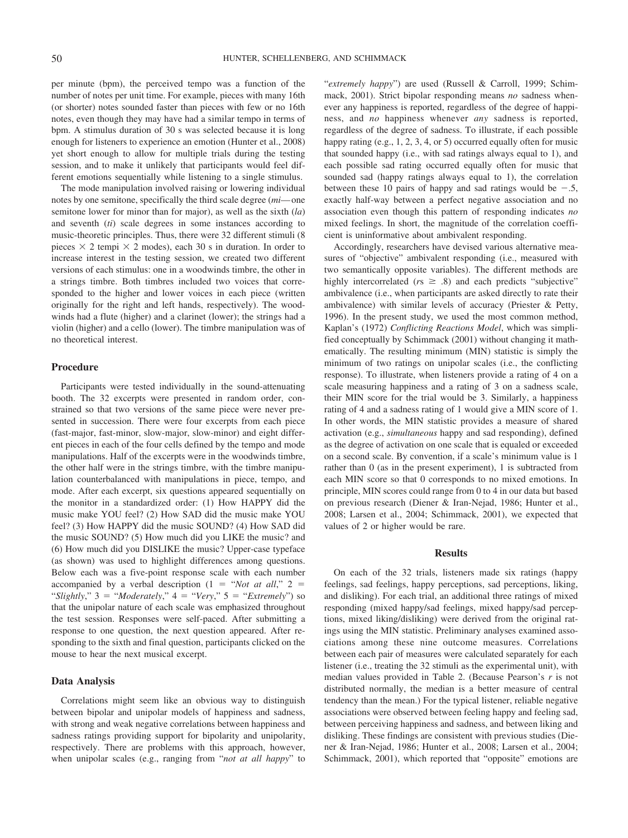per minute (bpm), the perceived tempo was a function of the number of notes per unit time. For example, pieces with many 16th (or shorter) notes sounded faster than pieces with few or no 16th notes, even though they may have had a similar tempo in terms of bpm. A stimulus duration of 30 s was selected because it is long enough for listeners to experience an emotion (Hunter et al., 2008) yet short enough to allow for multiple trials during the testing session, and to make it unlikely that participants would feel different emotions sequentially while listening to a single stimulus.

The mode manipulation involved raising or lowering individual notes by one semitone, specifically the third scale degree (*mi*—one semitone lower for minor than for major), as well as the sixth (*la*) and seventh (*ti*) scale degrees in some instances according to music-theoretic principles. Thus, there were 32 different stimuli (8 pieces  $\times$  2 tempi  $\times$  2 modes), each 30 s in duration. In order to increase interest in the testing session, we created two different versions of each stimulus: one in a woodwinds timbre, the other in a strings timbre. Both timbres included two voices that corresponded to the higher and lower voices in each piece (written originally for the right and left hands, respectively). The woodwinds had a flute (higher) and a clarinet (lower); the strings had a violin (higher) and a cello (lower). The timbre manipulation was of no theoretical interest.

# **Procedure**

Participants were tested individually in the sound-attenuating booth. The 32 excerpts were presented in random order, constrained so that two versions of the same piece were never presented in succession. There were four excerpts from each piece (fast-major, fast-minor, slow-major, slow-minor) and eight different pieces in each of the four cells defined by the tempo and mode manipulations. Half of the excerpts were in the woodwinds timbre, the other half were in the strings timbre, with the timbre manipulation counterbalanced with manipulations in piece, tempo, and mode. After each excerpt, six questions appeared sequentially on the monitor in a standardized order: (1) How HAPPY did the music make YOU feel? (2) How SAD did the music make YOU feel? (3) How HAPPY did the music SOUND? (4) How SAD did the music SOUND? (5) How much did you LIKE the music? and (6) How much did you DISLIKE the music? Upper-case typeface (as shown) was used to highlight differences among questions. Below each was a five-point response scale with each number accompanied by a verbal description  $(1 - \alpha)$  *"Not at all*,"  $2 =$ "*Slightly*,"  $3 =$  "*Moderately*,"  $4 =$  "*Very*,"  $5 =$  "*Extremely*") so that the unipolar nature of each scale was emphasized throughout the test session. Responses were self-paced. After submitting a response to one question, the next question appeared. After responding to the sixth and final question, participants clicked on the mouse to hear the next musical excerpt.

# **Data Analysis**

Correlations might seem like an obvious way to distinguish between bipolar and unipolar models of happiness and sadness, with strong and weak negative correlations between happiness and sadness ratings providing support for bipolarity and unipolarity, respectively. There are problems with this approach, however, when unipolar scales (e.g., ranging from "*not at all happy*" to "*extremely happy*") are used (Russell & Carroll, 1999; Schimmack, 2001). Strict bipolar responding means *no* sadness whenever any happiness is reported, regardless of the degree of happiness, and *no* happiness whenever *any* sadness is reported, regardless of the degree of sadness. To illustrate, if each possible happy rating (e.g., 1, 2, 3, 4, or 5) occurred equally often for music that sounded happy (i.e., with sad ratings always equal to 1), and each possible sad rating occurred equally often for music that sounded sad (happy ratings always equal to 1), the correlation between these 10 pairs of happy and sad ratings would be  $-.5$ , exactly half-way between a perfect negative association and no association even though this pattern of responding indicates *no* mixed feelings. In short, the magnitude of the correlation coefficient is uninformative about ambivalent responding.

Accordingly, researchers have devised various alternative measures of "objective" ambivalent responding (i.e., measured with two semantically opposite variables). The different methods are highly intercorrelated ( $rs \geq .8$ ) and each predicts "subjective" ambivalence (i.e., when participants are asked directly to rate their ambivalence) with similar levels of accuracy (Priester & Petty, 1996). In the present study, we used the most common method, Kaplan's (1972) *Conflicting Reactions Model*, which was simplified conceptually by Schimmack (2001) without changing it mathematically. The resulting minimum (MIN) statistic is simply the minimum of two ratings on unipolar scales (i.e., the conflicting response). To illustrate, when listeners provide a rating of 4 on a scale measuring happiness and a rating of 3 on a sadness scale, their MIN score for the trial would be 3. Similarly, a happiness rating of 4 and a sadness rating of 1 would give a MIN score of 1. In other words, the MIN statistic provides a measure of shared activation (e.g., *simultaneous* happy and sad responding), defined as the degree of activation on one scale that is equaled or exceeded on a second scale. By convention, if a scale's minimum value is 1 rather than 0 (as in the present experiment), 1 is subtracted from each MIN score so that 0 corresponds to no mixed emotions. In principle, MIN scores could range from 0 to 4 in our data but based on previous research (Diener & Iran-Nejad, 1986; Hunter et al., 2008; Larsen et al., 2004; Schimmack, 2001), we expected that values of 2 or higher would be rare.

# **Results**

On each of the 32 trials, listeners made six ratings (happy feelings, sad feelings, happy perceptions, sad perceptions, liking, and disliking). For each trial, an additional three ratings of mixed responding (mixed happy/sad feelings, mixed happy/sad perceptions, mixed liking/disliking) were derived from the original ratings using the MIN statistic. Preliminary analyses examined associations among these nine outcome measures. Correlations between each pair of measures were calculated separately for each listener (i.e., treating the 32 stimuli as the experimental unit), with median values provided in Table 2. (Because Pearson's *r* is not distributed normally, the median is a better measure of central tendency than the mean.) For the typical listener, reliable negative associations were observed between feeling happy and feeling sad, between perceiving happiness and sadness, and between liking and disliking. These findings are consistent with previous studies (Diener & Iran-Nejad, 1986; Hunter et al., 2008; Larsen et al., 2004; Schimmack, 2001), which reported that "opposite" emotions are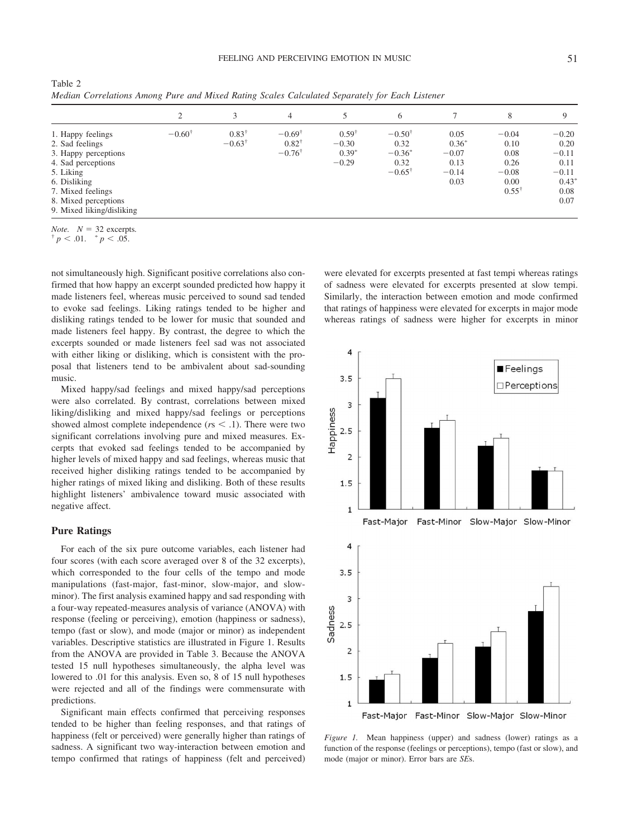Table 2 *Median Correlations Among Pure and Mixed Rating Scales Calculated Separately for Each Listener*

|                                                                                                                                                                                           | 2                 | 3                                     | $\overline{4}$                                             | 5                                                 | 6                                                                   |                                                       | 8                                                                      | Q                                                                        |
|-------------------------------------------------------------------------------------------------------------------------------------------------------------------------------------------|-------------------|---------------------------------------|------------------------------------------------------------|---------------------------------------------------|---------------------------------------------------------------------|-------------------------------------------------------|------------------------------------------------------------------------|--------------------------------------------------------------------------|
| 1. Happy feelings<br>2. Sad feelings<br>3. Happy perceptions<br>4. Sad perceptions<br>5. Liking<br>6. Disliking<br>7. Mixed feelings<br>8. Mixed perceptions<br>9. Mixed liking/disliking | $-0.60^{\dagger}$ | $0.83^{\dagger}$<br>$-0.63^{\dagger}$ | $-0.69^{\dagger}$<br>$0.82^{\dagger}$<br>$-0.76^{\dagger}$ | $0.59^{\dagger}$<br>$-0.30$<br>$0.39*$<br>$-0.29$ | $-0.50^{\dagger}$<br>0.32<br>$-0.36^*$<br>0.32<br>$-0.65^{\dagger}$ | 0.05<br>$0.36*$<br>$-0.07$<br>0.13<br>$-0.14$<br>0.03 | $-0.04$<br>0.10<br>0.08<br>0.26<br>$-0.08$<br>0.00<br>$0.55^{\dagger}$ | $-0.20$<br>0.20<br>$-0.11$<br>0.11<br>$-0.11$<br>$0.43*$<br>0.08<br>0.07 |

*Note.*  $N = 32$  excerpts.<br>
<sup>†</sup> *p* < .01. <sup>\*</sup> *p* < .05.

not simultaneously high. Significant positive correlations also confirmed that how happy an excerpt sounded predicted how happy it made listeners feel, whereas music perceived to sound sad tended to evoke sad feelings. Liking ratings tended to be higher and disliking ratings tended to be lower for music that sounded and made listeners feel happy. By contrast, the degree to which the excerpts sounded or made listeners feel sad was not associated with either liking or disliking, which is consistent with the proposal that listeners tend to be ambivalent about sad-sounding music.

Mixed happy/sad feelings and mixed happy/sad perceptions were also correlated. By contrast, correlations between mixed liking/disliking and mixed happy/sad feelings or perceptions showed almost complete independence  $(r<sub>s</sub> < .1)$ . There were two significant correlations involving pure and mixed measures. Excerpts that evoked sad feelings tended to be accompanied by higher levels of mixed happy and sad feelings, whereas music that received higher disliking ratings tended to be accompanied by higher ratings of mixed liking and disliking. Both of these results highlight listeners' ambivalence toward music associated with negative affect.

# **Pure Ratings**

For each of the six pure outcome variables, each listener had four scores (with each score averaged over 8 of the 32 excerpts), which corresponded to the four cells of the tempo and mode manipulations (fast-major, fast-minor, slow-major, and slowminor). The first analysis examined happy and sad responding with a four-way repeated-measures analysis of variance (ANOVA) with response (feeling or perceiving), emotion (happiness or sadness), tempo (fast or slow), and mode (major or minor) as independent variables. Descriptive statistics are illustrated in Figure 1. Results from the ANOVA are provided in Table 3. Because the ANOVA tested 15 null hypotheses simultaneously, the alpha level was lowered to .01 for this analysis. Even so, 8 of 15 null hypotheses were rejected and all of the findings were commensurate with predictions.

Significant main effects confirmed that perceiving responses tended to be higher than feeling responses, and that ratings of happiness (felt or perceived) were generally higher than ratings of sadness. A significant two way-interaction between emotion and tempo confirmed that ratings of happiness (felt and perceived) were elevated for excerpts presented at fast tempi whereas ratings of sadness were elevated for excerpts presented at slow tempi. Similarly, the interaction between emotion and mode confirmed that ratings of happiness were elevated for excerpts in major mode whereas ratings of sadness were higher for excerpts in minor



*Figure 1.* Mean happiness (upper) and sadness (lower) ratings as a function of the response (feelings or perceptions), tempo (fast or slow), and mode (major or minor). Error bars are *SE*s.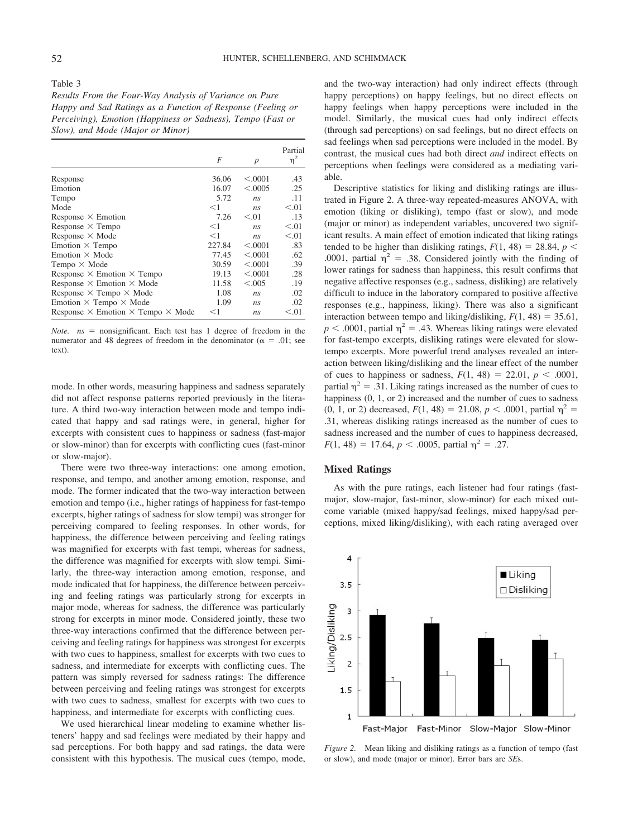#### Table 3

*Results From the Four-Way Analysis of Variance on Pure Happy and Sad Ratings as a Function of Response (Feeling or Perceiving), Emotion (Happiness or Sadness), Tempo (Fast or Slow), and Mode (Major or Minor)*

|                                                        | F      |                  | Partial<br>$\eta^2$ |
|--------------------------------------------------------|--------|------------------|---------------------|
|                                                        |        | $\boldsymbol{p}$ |                     |
| Response                                               | 36.06  | < 0.0001         | .43                 |
| Emotion                                                | 16.07  | < 0.0005         | .25                 |
| Tempo                                                  | 5.72   | ns               | .11                 |
| Mode                                                   | $<$ 1  | n <sub>s</sub>   | < 0.01              |
| Response $\times$ Emotion                              | 7.26   | < 0.01           | .13                 |
| Response $\times$ Tempo                                | $<$ 1  | n <sub>s</sub>   | < 0.01              |
| Response $\times$ Mode                                 | $<$ 1  | n <sub>s</sub>   | < 0.01              |
| Emotion $\times$ Tempo                                 | 227.84 | < .0001          | .83                 |
| Emotion $\times$ Mode                                  | 77.45  | < .0001          | .62                 |
| Tempo $\times$ Mode                                    | 30.59  | < .0001          | .39                 |
| Response $\times$ Emotion $\times$ Tempo               | 19.13  | < .0001          | .28                 |
| Response $\times$ Emotion $\times$ Mode                | 11.58  | < 0.005          | .19                 |
| Response $\times$ Tempo $\times$ Mode                  | 1.08   | ns               | .02                 |
| Emotion $\times$ Tempo $\times$ Mode                   | 1.09   | ns               | .02                 |
| Response $\times$ Emotion $\times$ Tempo $\times$ Mode | $<$ 1  | ns               | < 0.01              |

*Note.*  $ns$  = nonsignificant. Each test has 1 degree of freedom in the numerator and 48 degrees of freedom in the denominator ( $\alpha = .01$ ; see text).

mode. In other words, measuring happiness and sadness separately did not affect response patterns reported previously in the literature. A third two-way interaction between mode and tempo indicated that happy and sad ratings were, in general, higher for excerpts with consistent cues to happiness or sadness (fast-major or slow-minor) than for excerpts with conflicting cues (fast-minor or slow-major).

There were two three-way interactions: one among emotion, response, and tempo, and another among emotion, response, and mode. The former indicated that the two-way interaction between emotion and tempo (i.e., higher ratings of happiness for fast-tempo excerpts, higher ratings of sadness for slow tempi) was stronger for perceiving compared to feeling responses. In other words, for happiness, the difference between perceiving and feeling ratings was magnified for excerpts with fast tempi, whereas for sadness, the difference was magnified for excerpts with slow tempi. Similarly, the three-way interaction among emotion, response, and mode indicated that for happiness, the difference between perceiving and feeling ratings was particularly strong for excerpts in major mode, whereas for sadness, the difference was particularly strong for excerpts in minor mode. Considered jointly, these two three-way interactions confirmed that the difference between perceiving and feeling ratings for happiness was strongest for excerpts with two cues to happiness, smallest for excerpts with two cues to sadness, and intermediate for excerpts with conflicting cues. The pattern was simply reversed for sadness ratings: The difference between perceiving and feeling ratings was strongest for excerpts with two cues to sadness, smallest for excerpts with two cues to happiness, and intermediate for excerpts with conflicting cues.

We used hierarchical linear modeling to examine whether listeners' happy and sad feelings were mediated by their happy and sad perceptions. For both happy and sad ratings, the data were consistent with this hypothesis. The musical cues (tempo, mode, and the two-way interaction) had only indirect effects (through happy perceptions) on happy feelings, but no direct effects on happy feelings when happy perceptions were included in the model. Similarly, the musical cues had only indirect effects (through sad perceptions) on sad feelings, but no direct effects on sad feelings when sad perceptions were included in the model. By contrast, the musical cues had both direct *and* indirect effects on perceptions when feelings were considered as a mediating variable.

Descriptive statistics for liking and disliking ratings are illustrated in Figure 2. A three-way repeated-measures ANOVA, with emotion (liking or disliking), tempo (fast or slow), and mode (major or minor) as independent variables, uncovered two significant results. A main effect of emotion indicated that liking ratings tended to be higher than disliking ratings,  $F(1, 48) = 28.84$ ,  $p <$ .0001, partial  $\eta^2$  = .38. Considered jointly with the finding of lower ratings for sadness than happiness, this result confirms that negative affective responses (e.g., sadness, disliking) are relatively difficult to induce in the laboratory compared to positive affective responses (e.g., happiness, liking). There was also a significant interaction between tempo and liking/disliking,  $F(1, 48) = 35.61$ ,  $p < .0001$ , partial  $\eta^2 = .43$ . Whereas liking ratings were elevated for fast-tempo excerpts, disliking ratings were elevated for slowtempo excerpts. More powerful trend analyses revealed an interaction between liking/disliking and the linear effect of the number of cues to happiness or sadness,  $F(1, 48) = 22.01, p < .0001$ , partial  $\eta^2 = .31$ . Liking ratings increased as the number of cues to happiness (0, 1, or 2) increased and the number of cues to sadness (0, 1, or 2) decreased,  $F(1, 48) = 21.08$ ,  $p < .0001$ , partial  $\eta^2 =$ .31, whereas disliking ratings increased as the number of cues to sadness increased and the number of cues to happiness decreased,  $F(1, 48) = 17.64, p < .0005$ , partial  $\eta^2 = .27$ .

# **Mixed Ratings**

As with the pure ratings, each listener had four ratings (fastmajor, slow-major, fast-minor, slow-minor) for each mixed outcome variable (mixed happy/sad feelings, mixed happy/sad perceptions, mixed liking/disliking), with each rating averaged over



*Figure 2.* Mean liking and disliking ratings as a function of tempo (fast or slow), and mode (major or minor). Error bars are *SE*s.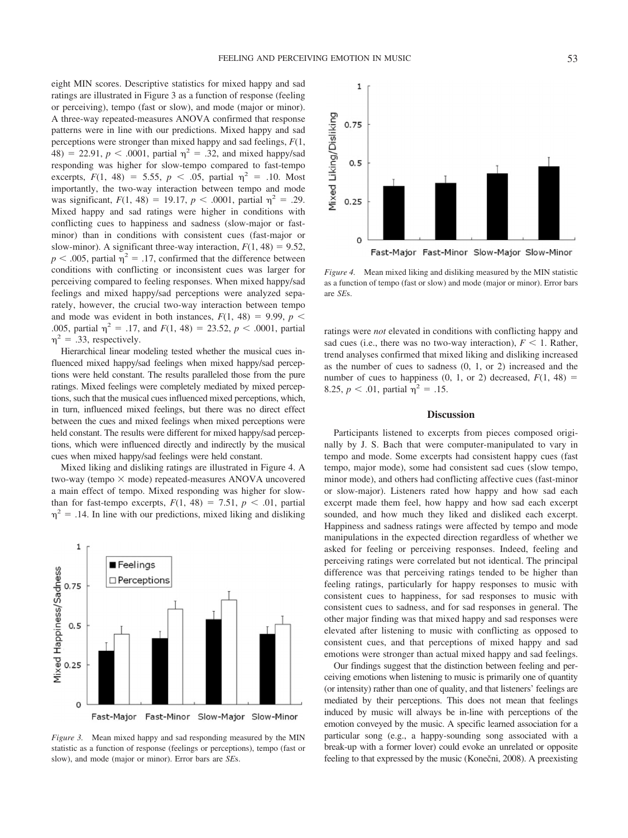eight MIN scores. Descriptive statistics for mixed happy and sad ratings are illustrated in Figure 3 as a function of response (feeling or perceiving), tempo (fast or slow), and mode (major or minor). A three-way repeated-measures ANOVA confirmed that response patterns were in line with our predictions. Mixed happy and sad perceptions were stronger than mixed happy and sad feelings, *F*(1,  $48) = 22.91, p < .0001$ , partial  $p^2 = .32$ , and mixed happy/sad responding was higher for slow-tempo compared to fast-tempo excerpts,  $F(1, 48) = 5.55$ ,  $p < .05$ , partial  $\eta^2 = .10$ . Most importantly, the two-way interaction between tempo and mode was significant,  $F(1, 48) = 19.17$ ,  $p < .0001$ , partial  $\eta^2 = .29$ . Mixed happy and sad ratings were higher in conditions with conflicting cues to happiness and sadness (slow-major or fastminor) than in conditions with consistent cues (fast-major or slow-minor). A significant three-way interaction,  $F(1, 48) = 9.52$ ,  $p < .005$ , partial  $\eta^2 = .17$ , confirmed that the difference between conditions with conflicting or inconsistent cues was larger for perceiving compared to feeling responses. When mixed happy/sad feelings and mixed happy/sad perceptions were analyzed separately, however, the crucial two-way interaction between tempo and mode was evident in both instances,  $F(1, 48) = 9.99$ ,  $p <$ .005, partial  $\eta^2 = .17$ , and  $F(1, 48) = 23.52$ ,  $p < .0001$ , partial  $\eta^2 = .33$ , respectively.

Hierarchical linear modeling tested whether the musical cues influenced mixed happy/sad feelings when mixed happy/sad perceptions were held constant. The results paralleled those from the pure ratings. Mixed feelings were completely mediated by mixed perceptions, such that the musical cues influenced mixed perceptions, which, in turn, influenced mixed feelings, but there was no direct effect between the cues and mixed feelings when mixed perceptions were held constant. The results were different for mixed happy/sad perceptions, which were influenced directly and indirectly by the musical cues when mixed happy/sad feelings were held constant.

Mixed liking and disliking ratings are illustrated in Figure 4. A two-way (tempo  $\times$  mode) repeated-measures ANOVA uncovered a main effect of tempo. Mixed responding was higher for slowthan for fast-tempo excerpts,  $F(1, 48) = 7.51$ ,  $p < .01$ , partial  $\eta^2$  = .14. In line with our predictions, mixed liking and disliking



*Figure 3.* Mean mixed happy and sad responding measured by the MIN statistic as a function of response (feelings or perceptions), tempo (fast or slow), and mode (major or minor). Error bars are *SE*s.



*Figure 4.* Mean mixed liking and disliking measured by the MIN statistic as a function of tempo (fast or slow) and mode (major or minor). Error bars are *SE*s.

ratings were *not* elevated in conditions with conflicting happy and sad cues (i.e., there was no two-way interaction),  $F < 1$ . Rather, trend analyses confirmed that mixed liking and disliking increased as the number of cues to sadness (0, 1, or 2) increased and the number of cues to happiness  $(0, 1, \text{ or } 2)$  decreased,  $F(1, 48)$  = 8.25,  $p < .01$ , partial  $\eta^2 = .15$ .

### **Discussion**

Participants listened to excerpts from pieces composed originally by J. S. Bach that were computer-manipulated to vary in tempo and mode. Some excerpts had consistent happy cues (fast tempo, major mode), some had consistent sad cues (slow tempo, minor mode), and others had conflicting affective cues (fast-minor or slow-major). Listeners rated how happy and how sad each excerpt made them feel, how happy and how sad each excerpt sounded, and how much they liked and disliked each excerpt. Happiness and sadness ratings were affected by tempo and mode manipulations in the expected direction regardless of whether we asked for feeling or perceiving responses. Indeed, feeling and perceiving ratings were correlated but not identical. The principal difference was that perceiving ratings tended to be higher than feeling ratings, particularly for happy responses to music with consistent cues to happiness, for sad responses to music with consistent cues to sadness, and for sad responses in general. The other major finding was that mixed happy and sad responses were elevated after listening to music with conflicting as opposed to consistent cues, and that perceptions of mixed happy and sad emotions were stronger than actual mixed happy and sad feelings.

Our findings suggest that the distinction between feeling and perceiving emotions when listening to music is primarily one of quantity (or intensity) rather than one of quality, and that listeners' feelings are mediated by their perceptions. This does not mean that feelings induced by music will always be in-line with perceptions of the emotion conveyed by the music. A specific learned association for a particular song (e.g., a happy-sounding song associated with a break-up with a former lover) could evoke an unrelated or opposite feeling to that expressed by the music (Konečni, 2008). A preexisting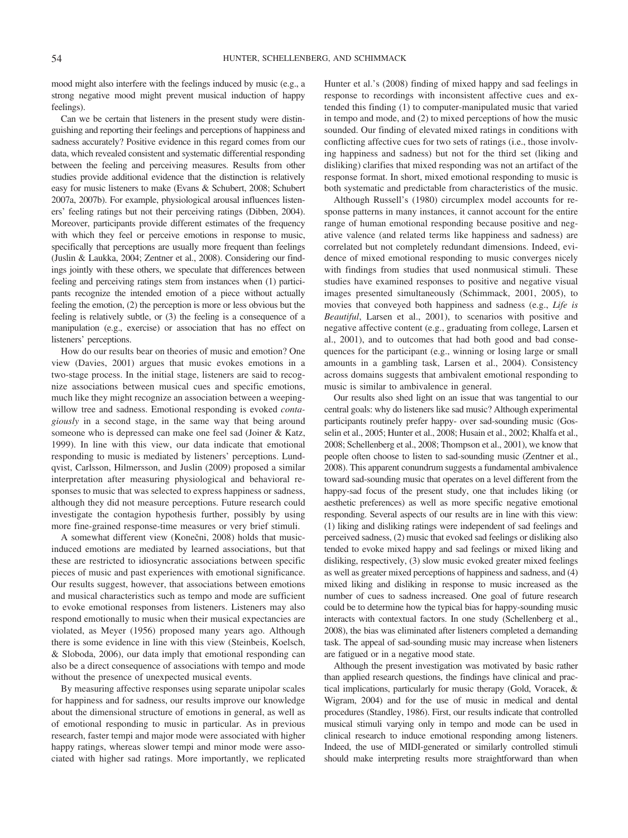mood might also interfere with the feelings induced by music (e.g., a strong negative mood might prevent musical induction of happy feelings).

Can we be certain that listeners in the present study were distinguishing and reporting their feelings and perceptions of happiness and sadness accurately? Positive evidence in this regard comes from our data, which revealed consistent and systematic differential responding between the feeling and perceiving measures. Results from other studies provide additional evidence that the distinction is relatively easy for music listeners to make (Evans & Schubert, 2008; Schubert 2007a, 2007b). For example, physiological arousal influences listeners' feeling ratings but not their perceiving ratings (Dibben, 2004). Moreover, participants provide different estimates of the frequency with which they feel or perceive emotions in response to music, specifically that perceptions are usually more frequent than feelings (Juslin & Laukka, 2004; Zentner et al., 2008). Considering our findings jointly with these others, we speculate that differences between feeling and perceiving ratings stem from instances when (1) participants recognize the intended emotion of a piece without actually feeling the emotion, (2) the perception is more or less obvious but the feeling is relatively subtle, or (3) the feeling is a consequence of a manipulation (e.g., exercise) or association that has no effect on listeners' perceptions.

How do our results bear on theories of music and emotion? One view (Davies, 2001) argues that music evokes emotions in a two-stage process. In the initial stage, listeners are said to recognize associations between musical cues and specific emotions, much like they might recognize an association between a weepingwillow tree and sadness. Emotional responding is evoked *contagiously* in a second stage, in the same way that being around someone who is depressed can make one feel sad (Joiner & Katz, 1999). In line with this view, our data indicate that emotional responding to music is mediated by listeners' perceptions. Lundqvist, Carlsson, Hilmersson, and Juslin (2009) proposed a similar interpretation after measuring physiological and behavioral responses to music that was selected to express happiness or sadness, although they did not measure perceptions. Future research could investigate the contagion hypothesis further, possibly by using more fine-grained response-time measures or very brief stimuli.

A somewhat different view (Konečni, 2008) holds that musicinduced emotions are mediated by learned associations, but that these are restricted to idiosyncratic associations between specific pieces of music and past experiences with emotional significance. Our results suggest, however, that associations between emotions and musical characteristics such as tempo and mode are sufficient to evoke emotional responses from listeners. Listeners may also respond emotionally to music when their musical expectancies are violated, as Meyer (1956) proposed many years ago. Although there is some evidence in line with this view (Steinbeis, Koelsch, & Sloboda, 2006), our data imply that emotional responding can also be a direct consequence of associations with tempo and mode without the presence of unexpected musical events.

By measuring affective responses using separate unipolar scales for happiness and for sadness, our results improve our knowledge about the dimensional structure of emotions in general, as well as of emotional responding to music in particular. As in previous research, faster tempi and major mode were associated with higher happy ratings, whereas slower tempi and minor mode were associated with higher sad ratings. More importantly, we replicated Hunter et al.'s (2008) finding of mixed happy and sad feelings in response to recordings with inconsistent affective cues and extended this finding (1) to computer-manipulated music that varied in tempo and mode, and (2) to mixed perceptions of how the music sounded. Our finding of elevated mixed ratings in conditions with conflicting affective cues for two sets of ratings (i.e., those involving happiness and sadness) but not for the third set (liking and disliking) clarifies that mixed responding was not an artifact of the response format. In short, mixed emotional responding to music is both systematic and predictable from characteristics of the music.

Although Russell's (1980) circumplex model accounts for response patterns in many instances, it cannot account for the entire range of human emotional responding because positive and negative valence (and related terms like happiness and sadness) are correlated but not completely redundant dimensions. Indeed, evidence of mixed emotional responding to music converges nicely with findings from studies that used nonmusical stimuli. These studies have examined responses to positive and negative visual images presented simultaneously (Schimmack, 2001, 2005), to movies that conveyed both happiness and sadness (e.g., *Life is Beautiful*, Larsen et al., 2001), to scenarios with positive and negative affective content (e.g., graduating from college, Larsen et al., 2001), and to outcomes that had both good and bad consequences for the participant (e.g., winning or losing large or small amounts in a gambling task, Larsen et al., 2004). Consistency across domains suggests that ambivalent emotional responding to music is similar to ambivalence in general.

Our results also shed light on an issue that was tangential to our central goals: why do listeners like sad music? Although experimental participants routinely prefer happy- over sad-sounding music (Gosselin et al., 2005; Hunter et al., 2008; Husain et al., 2002; Khalfa et al., 2008; Schellenberg et al., 2008; Thompson et al., 2001), we know that people often choose to listen to sad-sounding music (Zentner et al., 2008). This apparent conundrum suggests a fundamental ambivalence toward sad-sounding music that operates on a level different from the happy-sad focus of the present study, one that includes liking (or aesthetic preferences) as well as more specific negative emotional responding. Several aspects of our results are in line with this view: (1) liking and disliking ratings were independent of sad feelings and perceived sadness, (2) music that evoked sad feelings or disliking also tended to evoke mixed happy and sad feelings or mixed liking and disliking, respectively, (3) slow music evoked greater mixed feelings as well as greater mixed perceptions of happiness and sadness, and (4) mixed liking and disliking in response to music increased as the number of cues to sadness increased. One goal of future research could be to determine how the typical bias for happy-sounding music interacts with contextual factors. In one study (Schellenberg et al., 2008), the bias was eliminated after listeners completed a demanding task. The appeal of sad-sounding music may increase when listeners are fatigued or in a negative mood state.

Although the present investigation was motivated by basic rather than applied research questions, the findings have clinical and practical implications, particularly for music therapy (Gold, Voracek, & Wigram, 2004) and for the use of music in medical and dental procedures (Standley, 1986). First, our results indicate that controlled musical stimuli varying only in tempo and mode can be used in clinical research to induce emotional responding among listeners. Indeed, the use of MIDI-generated or similarly controlled stimuli should make interpreting results more straightforward than when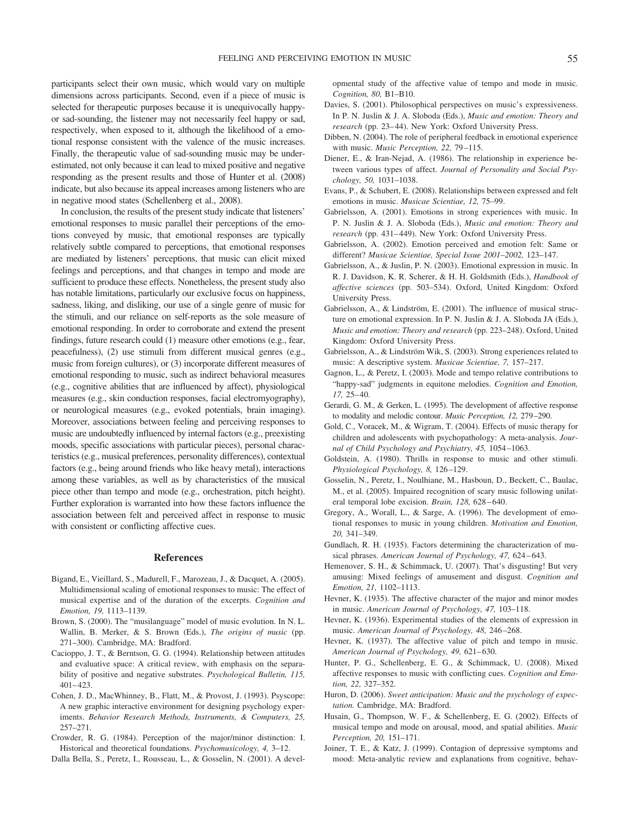participants select their own music, which would vary on multiple dimensions across participants. Second, even if a piece of music is selected for therapeutic purposes because it is unequivocally happyor sad-sounding, the listener may not necessarily feel happy or sad, respectively, when exposed to it, although the likelihood of a emotional response consistent with the valence of the music increases. Finally, the therapeutic value of sad-sounding music may be underestimated, not only because it can lead to mixed positive and negative responding as the present results and those of Hunter et al. (2008) indicate, but also because its appeal increases among listeners who are in negative mood states (Schellenberg et al., 2008).

In conclusion, the results of the present study indicate that listeners' emotional responses to music parallel their perceptions of the emotions conveyed by music, that emotional responses are typically relatively subtle compared to perceptions, that emotional responses are mediated by listeners' perceptions, that music can elicit mixed feelings and perceptions, and that changes in tempo and mode are sufficient to produce these effects. Nonetheless, the present study also has notable limitations, particularly our exclusive focus on happiness, sadness, liking, and disliking, our use of a single genre of music for the stimuli, and our reliance on self-reports as the sole measure of emotional responding. In order to corroborate and extend the present findings, future research could (1) measure other emotions (e.g., fear, peacefulness), (2) use stimuli from different musical genres (e.g., music from foreign cultures), or (3) incorporate different measures of emotional responding to music, such as indirect behavioral measures (e.g., cognitive abilities that are influenced by affect), physiological measures (e.g., skin conduction responses, facial electromyography), or neurological measures (e.g., evoked potentials, brain imaging). Moreover, associations between feeling and perceiving responses to music are undoubtedly influenced by internal factors (e.g., preexisting moods, specific associations with particular pieces), personal characteristics (e.g., musical preferences, personality differences), contextual factors (e.g., being around friends who like heavy metal), interactions among these variables, as well as by characteristics of the musical piece other than tempo and mode (e.g., orchestration, pitch height). Further exploration is warranted into how these factors influence the association between felt and perceived affect in response to music with consistent or conflicting affective cues.

#### **References**

- Bigand, E., Vieillard, S., Madurell, F., Marozeau, J., & Dacquet, A. (2005). Multidimensional scaling of emotional responses to music: The effect of musical expertise and of the duration of the excerpts. *Cognition and Emotion, 19,* 1113–1139.
- Brown, S. (2000). The "musilanguage" model of music evolution. In N. L. Wallin, B. Merker, & S. Brown (Eds.), *The origins of music* (pp. 271–300). Cambridge, MA: Bradford.
- Cacioppo, J. T., & Berntson, G. G. (1994). Relationship between attitudes and evaluative space: A critical review, with emphasis on the separability of positive and negative substrates. *Psychological Bulletin, 115,* 401–423.
- Cohen, J. D., MacWhinney, B., Flatt, M., & Provost, J. (1993). Psyscope: A new graphic interactive environment for designing psychology experiments. *Behavior Research Methods, Instruments, & Computers, 25,* 257–271.
- Crowder, R. G. (1984). Perception of the major/minor distinction: I. Historical and theoretical foundations. *Psychomusicology, 4,* 3–12.
- Dalla Bella, S., Peretz, I., Rousseau, L., & Gosselin, N. (2001). A devel-

opmental study of the affective value of tempo and mode in music. *Cognition, 80,* B1–B10.

- Davies, S. (2001). Philosophical perspectives on music's expressiveness. In P. N. Juslin & J. A. Sloboda (Eds.), *Music and emotion: Theory and research* (pp. 23–44). New York: Oxford University Press.
- Dibben, N. (2004). The role of peripheral feedback in emotional experience with music. *Music Perception, 22,* 79–115.
- Diener, E., & Iran-Nejad, A. (1986). The relationship in experience between various types of affect. *Journal of Personality and Social Psychology, 50,* 1031–1038.
- Evans, P., & Schubert, E. (2008). Relationships between expressed and felt emotions in music. *Musicae Scientiae, 12,* 75–99.
- Gabrielsson, A. (2001). Emotions in strong experiences with music. In P. N. Juslin & J. A. Sloboda (Eds.), *Music and emotion: Theory and research* (pp. 431–449). New York: Oxford University Press.
- Gabrielsson, A. (2002). Emotion perceived and emotion felt: Same or different? *Musicae Scientiae, Special Issue 2001–2002,* 123–147.
- Gabrielsson, A., & Juslin, P. N. (2003). Emotional expression in music. In R. J. Davidson, K. R. Scherer, & H. H. Goldsmith (Eds.), *Handbook of affective sciences* (pp. 503–534). Oxford, United Kingdom: Oxford University Press.
- Gabrielsson, A., & Lindström, E. (2001). The influence of musical structure on emotional expression. In P. N. Juslin & J. A. Sloboda JA (Eds.), *Music and emotion: Theory and research* (pp. 223–248). Oxford, United Kingdom: Oxford University Press.
- Gabrielsson, A., & Lindström Wik, S. (2003). Strong experiences related to music: A descriptive system. *Musicae Scientiae, 7,* 157–217.
- Gagnon, L., & Peretz, I. (2003). Mode and tempo relative contributions to "happy-sad" judgments in equitone melodies. *Cognition and Emotion, 17,* 25–40.
- Gerardi, G. M., & Gerken, L. (1995). The development of affective response to modality and melodic contour. *Music Perception, 12,* 279–290.
- Gold, C., Voracek, M., & Wigram, T. (2004). Effects of music therapy for children and adolescents with psychopathology: A meta-analysis. *Journal of Child Psychology and Psychiatry, 45,* 1054–1063.
- Goldstein, A. (1980). Thrills in response to music and other stimuli. *Physiological Psychology, 8,* 126–129.
- Gosselin, N., Peretz, I., Noulhiane, M., Hasboun, D., Beckett, C., Baulac, M., et al. (2005). Impaired recognition of scary music following unilateral temporal lobe excision. *Brain, 128,* 628–640.
- Gregory, A., Worall, L., & Sarge, A. (1996). The development of emotional responses to music in young children. *Motivation and Emotion, 20,* 341–349.
- Gundlach, R. H. (1935). Factors determining the characterization of musical phrases. *American Journal of Psychology, 47,* 624–643.
- Hemenover, S. H., & Schimmack, U. (2007). That's disgusting! But very amusing: Mixed feelings of amusement and disgust. *Cognition and Emotion, 21,* 1102–1113.
- Hevner, K. (1935). The affective character of the major and minor modes in music. *American Journal of Psychology, 47,* 103–118.
- Hevner, K. (1936). Experimental studies of the elements of expression in music. *American Journal of Psychology, 48,* 246–268.
- Hevner, K. (1937). The affective value of pitch and tempo in music. *American Journal of Psychology, 49,* 621–630.
- Hunter, P. G., Schellenberg, E. G., & Schimmack, U. (2008). Mixed affective responses to music with conflicting cues. *Cognition and Emotion, 22,* 327–352.
- Huron, D. (2006). *Sweet anticipation: Music and the psychology of expectation.* Cambridge, MA: Bradford.
- Husain, G., Thompson, W. F., & Schellenberg, E. G. (2002). Effects of musical tempo and mode on arousal, mood, and spatial abilities. *Music Perception, 20,* 151–171.
- Joiner, T. E., & Katz, J. (1999). Contagion of depressive symptoms and mood: Meta-analytic review and explanations from cognitive, behav-